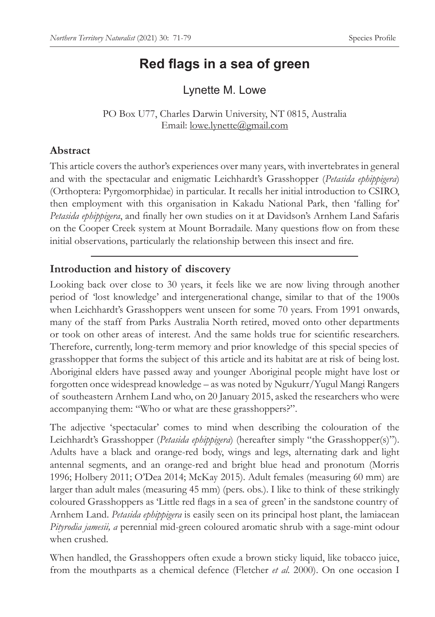# **Red flags in a sea of green**

Lynette M. Lowe

PO Box U77, Charles Darwin University, NT 0815, Australia Email: lowe.lynette@gmail.com

## **Abstract**

This article covers the author's experiences over many years, with invertebrates in general and with the spectacular and enigmatic Leichhardt's Grasshopper (*Petasida ephippigera*) (Orthoptera: Pyrgomorphidae) in particular. It recalls her initial introduction to CSIRO, then employment with this organisation in Kakadu National Park, then 'falling for' *Petasida ephippigera*, and finally her own studies on it at Davidson's Arnhem Land Safaris on the Cooper Creek system at Mount Borradaile. Many questions flow on from these initial observations, particularly the relationship between this insect and fire.

## **Introduction and history of discovery**

Looking back over close to 30 years, it feels like we are now living through another period of 'lost knowledge' and intergenerational change, similar to that of the 1900s when Leichhardt's Grasshoppers went unseen for some 70 years. From 1991 onwards, many of the staff from Parks Australia North retired, moved onto other departments or took on other areas of interest. And the same holds true for scientific researchers. Therefore, currently, long-term memory and prior knowledge of this special species of grasshopper that forms the subject of this article and its habitat are at risk of being lost. Aboriginal elders have passed away and younger Aboriginal people might have lost or forgotten once widespread knowledge – as was noted by Ngukurr/Yugul Mangi Rangers of southeastern Arnhem Land who, on 20 January 2015, asked the researchers who were accompanying them: "Who or what are these grasshoppers?".

The adjective 'spectacular' comes to mind when describing the colouration of the Leichhardt's Grasshopper (*Petasida ephippigera*) (hereafter simply "the Grasshopper(s)"). Adults have a black and orange-red body, wings and legs, alternating dark and light antennal segments, and an orange-red and bright blue head and pronotum (Morris 1996; Holbery 2011; O'Dea 2014; McKay 2015). Adult females (measuring 60 mm) are larger than adult males (measuring 45 mm) (pers. obs.). I like to think of these strikingly coloured Grasshoppers as 'Little red flags in a sea of green' in the sandstone country of Arnhem Land. *Petasida ephippigera* is easily seen on its principal host plant, the lamiacean *Pityrodia jamesii, a* perennial mid-green coloured aromatic shrub with a sage-mint odour when crushed.

When handled, the Grasshoppers often exude a brown sticky liquid, like tobacco juice, from the mouthparts as a chemical defence (Fletcher *et al.* 2000). On one occasion I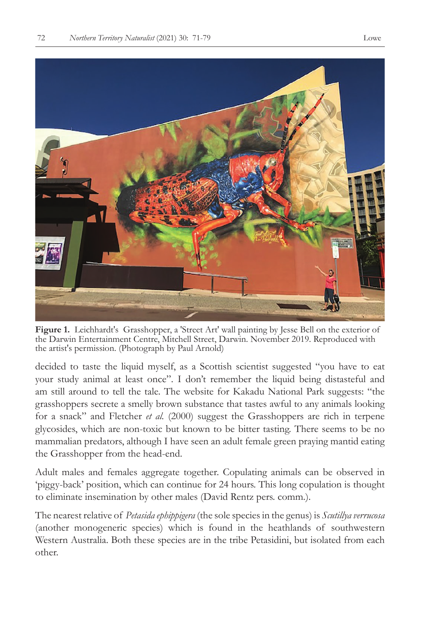

**Figure 1.** Leichhardt's Grasshopper, a 'Street Art' wall painting by Jesse Bell on the exterior of the Darwin Entertainment Centre, Mitchell Street, Darwin. November 2019. Reproduced with the artist's permission. (Photograph by Paul Arnold)

decided to taste the liquid myself, as a Scottish scientist suggested "you have to eat your study animal at least once". I don't remember the liquid being distasteful and am still around to tell the tale. The website for Kakadu National Park suggests: "the grasshoppers secrete a smelly brown substance that tastes awful to any animals looking for a snack" and Fletcher *et al.* (2000) suggest the Grasshoppers are rich in terpene glycosides, which are non-toxic but known to be bitter tasting. There seems to be no mammalian predators, although I have seen an adult female green praying mantid eating the Grasshopper from the head-end.

Adult males and females aggregate together. Copulating animals can be observed in 'piggy-back' position, which can continue for 24 hours. This long copulation is thought to eliminate insemination by other males (David Rentz pers. comm.).

The nearest relative of *Petasida ephippigera* (the sole species in the genus) is *Scutillya verrucosa*  (another monogeneric species) which is found in the heathlands of southwestern Western Australia. Both these species are in the tribe Petasidini, but isolated from each other.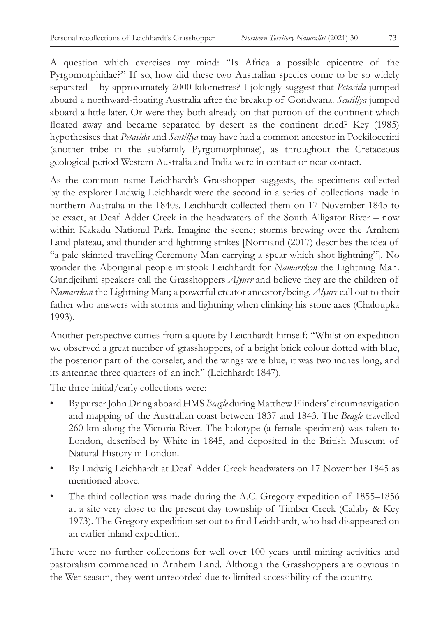A question which exercises my mind: "Is Africa a possible epicentre of the Pyrgomorphidae?" If so, how did these two Australian species come to be so widely separated – by approximately 2000 kilometres? I jokingly suggest that *Petasida* jumped aboard a northward-floating Australia after the breakup of Gondwana. *Scutillya* jumped aboard a little later. Or were they both already on that portion of the continent which floated away and became separated by desert as the continent dried? Key (1985) hypothesises that *Petasida* and *Scutillya* may have had a common ancestor in Poekilocerini (another tribe in the subfamily Pyrgomorphinae), as throughout the Cretaceous geological period Western Australia and India were in contact or near contact.

As the common name Leichhardt's Grasshopper suggests, the specimens collected by the explorer Ludwig Leichhardt were the second in a series of collections made in northern Australia in the 1840s. Leichhardt collected them on 17 November 1845 to be exact, at Deaf Adder Creek in the headwaters of the South Alligator River – now within Kakadu National Park. Imagine the scene; storms brewing over the Arnhem Land plateau, and thunder and lightning strikes [Normand (2017) describes the idea of "a pale skinned travelling Ceremony Man carrying a spear which shot lightning"]. No wonder the Aboriginal people mistook Leichhardt for *Namarrkon* the Lightning Man. Gundjeihmi speakers call the Grasshoppers *Alyurr* and believe they are the children of *Namarrkon* the Lightning Man; a powerful creator ancestor/being. *Alyurr* call out to their father who answers with storms and lightning when clinking his stone axes (Chaloupka 1993).

Another perspective comes from a quote by Leichhardt himself: "Whilst on expedition we observed a great number of grasshoppers, of a bright brick colour dotted with blue, the posterior part of the corselet, and the wings were blue, it was two inches long, and its antennae three quarters of an inch" (Leichhardt 1847).

The three initial/early collections were:

- By purser John Dring aboard HMS *Beagle* during Matthew Flinders' circumnavigation and mapping of the Australian coast between 1837 and 1843. The *Beagle* travelled 260 km along the Victoria River. The holotype (a female specimen) was taken to London, described by White in 1845, and deposited in the British Museum of Natural History in London.
- By Ludwig Leichhardt at Deaf Adder Creek headwaters on 17 November 1845 as mentioned above.
- The third collection was made during the A.C. Gregory expedition of 1855–1856 at a site very close to the present day township of Timber Creek (Calaby & Key 1973). The Gregory expedition set out to find Leichhardt, who had disappeared on an earlier inland expedition.

There were no further collections for well over 100 years until mining activities and pastoralism commenced in Arnhem Land. Although the Grasshoppers are obvious in the Wet season, they went unrecorded due to limited accessibility of the country.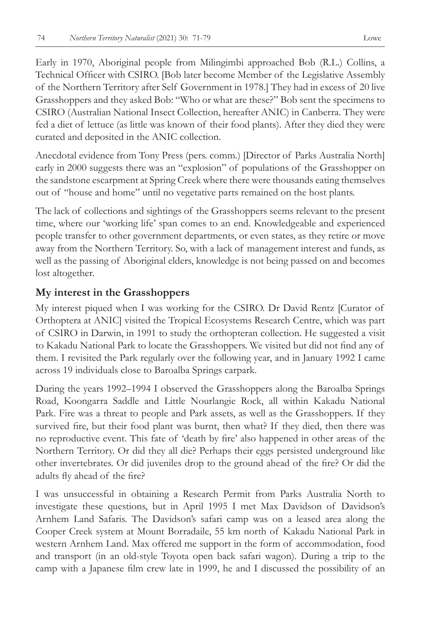Early in 1970, Aboriginal people from Milingimbi approached Bob (R.L.) Collins, a Technical Officer with CSIRO. [Bob later become Member of the Legislative Assembly of the Northern Territory after Self Government in 1978.] They had in excess of 20 live Grasshoppers and they asked Bob: "Who or what are these?" Bob sent the specimens to CSIRO (Australian National Insect Collection, hereafter ANIC) in Canberra. They were fed a diet of lettuce (as little was known of their food plants). After they died they were curated and deposited in the ANIC collection.

Anecdotal evidence from Tony Press (pers. comm.) [Director of Parks Australia North] early in 2000 suggests there was an "explosion" of populations of the Grasshopper on the sandstone escarpment at Spring Creek where there were thousands eating themselves out of "house and home" until no vegetative parts remained on the host plants.

The lack of collections and sightings of the Grasshoppers seems relevant to the present time, where our 'working life' span comes to an end. Knowledgeable and experienced people transfer to other government departments, or even states, as they retire or move away from the Northern Territory. So, with a lack of management interest and funds, as well as the passing of Aboriginal elders, knowledge is not being passed on and becomes lost altogether.

### **My interest in the Grasshoppers**

My interest piqued when I was working for the CSIRO. Dr David Rentz [Curator of Orthoptera at ANIC] visited the Tropical Ecosystems Research Centre, which was part of CSIRO in Darwin, in 1991 to study the orthopteran collection. He suggested a visit to Kakadu National Park to locate the Grasshoppers. We visited but did not find any of them. I revisited the Park regularly over the following year, and in January 1992 I came across 19 individuals close to Baroalba Springs carpark.

During the years 1992–1994 I observed the Grasshoppers along the Baroalba Springs Road, Koongarra Saddle and Little Nourlangie Rock, all within Kakadu National Park. Fire was a threat to people and Park assets, as well as the Grasshoppers. If they survived fire, but their food plant was burnt, then what? If they died, then there was no reproductive event. This fate of 'death by fire' also happened in other areas of the Northern Territory. Or did they all die? Perhaps their eggs persisted underground like other invertebrates. Or did juveniles drop to the ground ahead of the fire? Or did the adults fly ahead of the fire?

I was unsuccessful in obtaining a Research Permit from Parks Australia North to investigate these questions, but in April 1995 I met Max Davidson of Davidson's Arnhem Land Safaris. The Davidson's safari camp was on a leased area along the Cooper Creek system at Mount Borradaile, 55 km north of Kakadu National Park in western Arnhem Land. Max offered me support in the form of accommodation, food and transport (in an old-style Toyota open back safari wagon). During a trip to the camp with a Japanese film crew late in 1999, he and I discussed the possibility of an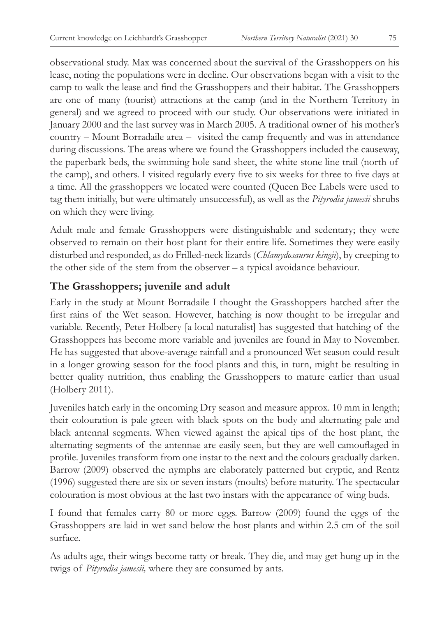observational study. Max was concerned about the survival of the Grasshoppers on his lease, noting the populations were in decline. Our observations began with a visit to the camp to walk the lease and find the Grasshoppers and their habitat. The Grasshoppers are one of many (tourist) attractions at the camp (and in the Northern Territory in general) and we agreed to proceed with our study. Our observations were initiated in January 2000 and the last survey was in March 2005. A traditional owner of his mother's country – Mount Borradaile area – visited the camp frequently and was in attendance during discussions. The areas where we found the Grasshoppers included the causeway, the paperbark beds, the swimming hole sand sheet, the white stone line trail (north of the camp), and others. I visited regularly every five to six weeks for three to five days at a time. All the grasshoppers we located were counted (Queen Bee Labels were used to tag them initially, but were ultimately unsuccessful), as well as the *Pityrodia jamesii* shrubs on which they were living.

Adult male and female Grasshoppers were distinguishable and sedentary; they were observed to remain on their host plant for their entire life. Sometimes they were easily disturbed and responded, as do Frilled-neck lizards (*Chlamydosaurus kingii*), by creeping to the other side of the stem from the observer – a typical avoidance behaviour.

## **The Grasshoppers; juvenile and adult**

Early in the study at Mount Borradaile I thought the Grasshoppers hatched after the first rains of the Wet season. However, hatching is now thought to be irregular and variable. Recently, Peter Holbery [a local naturalist] has suggested that hatching of the Grasshoppers has become more variable and juveniles are found in May to November. He has suggested that above-average rainfall and a pronounced Wet season could result in a longer growing season for the food plants and this, in turn, might be resulting in better quality nutrition, thus enabling the Grasshoppers to mature earlier than usual (Holbery 2011).

Juveniles hatch early in the oncoming Dry season and measure approx. 10 mm in length; their colouration is pale green with black spots on the body and alternating pale and black antennal segments. When viewed against the apical tips of the host plant, the alternating segments of the antennae are easily seen, but they are well camouflaged in profile. Juveniles transform from one instar to the next and the colours gradually darken. Barrow (2009) observed the nymphs are elaborately patterned but cryptic, and Rentz (1996) suggested there are six or seven instars (moults) before maturity. The spectacular colouration is most obvious at the last two instars with the appearance of wing buds.

I found that females carry 80 or more eggs. Barrow (2009) found the eggs of the Grasshoppers are laid in wet sand below the host plants and within 2.5 cm of the soil surface.

As adults age, their wings become tatty or break. They die, and may get hung up in the twigs of *Pityrodia jamesii,* where they are consumed by ants.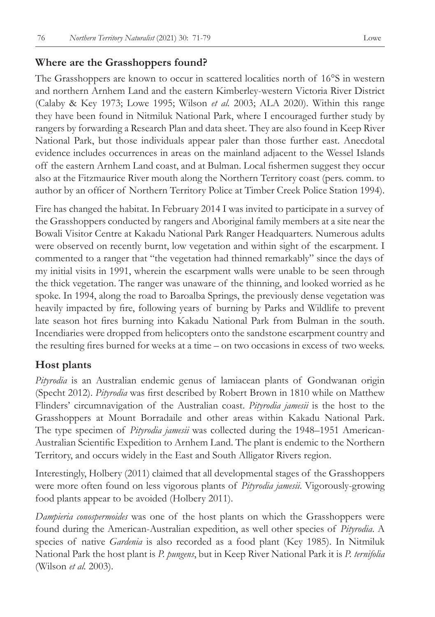#### **Where are the Grasshoppers found?**

The Grasshoppers are known to occur in scattered localities north of 16°S in western and northern Arnhem Land and the eastern Kimberley-western Victoria River District (Calaby & Key 1973; Lowe 1995; Wilson *et al.* 2003; ALA 2020). Within this range they have been found in Nitmiluk National Park, where I encouraged further study by rangers by forwarding a Research Plan and data sheet. They are also found in Keep River National Park, but those individuals appear paler than those further east. Anecdotal evidence includes occurrences in areas on the mainland adjacent to the Wessel Islands off the eastern Arnhem Land coast, and at Bulman. Local fishermen suggest they occur also at the Fitzmaurice River mouth along the Northern Territory coast (pers. comm. to author by an officer of Northern Territory Police at Timber Creek Police Station 1994).

Fire has changed the habitat. In February 2014 I was invited to participate in a survey of the Grasshoppers conducted by rangers and Aboriginal family members at a site near the Bowali Visitor Centre at Kakadu National Park Ranger Headquarters. Numerous adults were observed on recently burnt, low vegetation and within sight of the escarpment. I commented to a ranger that "the vegetation had thinned remarkably" since the days of my initial visits in 1991, wherein the escarpment walls were unable to be seen through the thick vegetation. The ranger was unaware of the thinning, and looked worried as he spoke. In 1994, along the road to Baroalba Springs, the previously dense vegetation was heavily impacted by fire, following years of burning by Parks and Wildlife to prevent late season hot fires burning into Kakadu National Park from Bulman in the south. Incendiaries were dropped from helicopters onto the sandstone escarpment country and the resulting fires burned for weeks at a time – on two occasions in excess of two weeks.

#### **Host plants**

*Pityrodia* is an Australian endemic genus of lamiacean plants of Gondwanan origin (Specht 2012). *Pityrodia* was first described by Robert Brown in 1810 while on Matthew Flinders' circumnavigation of the Australian coast. *Pityrodia jamesii* is the host to the Grasshoppers at Mount Borradaile and other areas within Kakadu National Park. The type specimen of *Pityrodia jamesii* was collected during the 1948–1951 American-Australian Scientific Expedition to Arnhem Land. The plant is endemic to the Northern Territory, and occurs widely in the East and South Alligator Rivers region.

Interestingly, Holbery (2011) claimed that all developmental stages of the Grasshoppers were more often found on less vigorous plants of *Pityrodia jamesii*. Vigorously-growing food plants appear to be avoided (Holbery 2011).

*Dampieria conospermoides* was one of the host plants on which the Grasshoppers were found during the American-Australian expedition, as well other species of *Pityrodia*. A species of native *Gardenia* is also recorded as a food plant (Key 1985). In Nitmiluk National Park the host plant is *P. pungens*, but in Keep River National Park it is *P. ternifolia* (Wilson *et al.* 2003).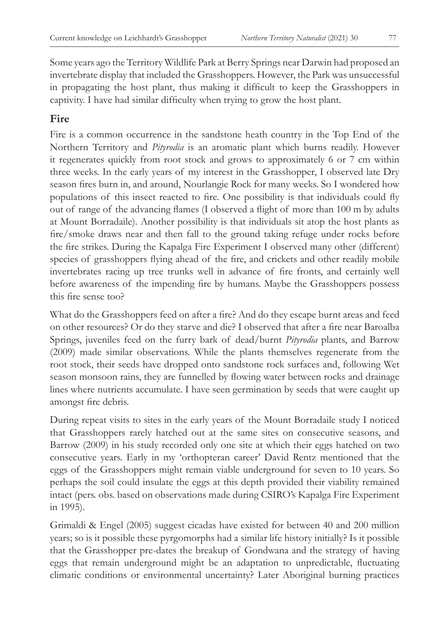Some years ago the Territory Wildlife Park at Berry Springs near Darwin had proposed an invertebrate display that included the Grasshoppers. However, the Park was unsuccessful in propagating the host plant, thus making it difficult to keep the Grasshoppers in captivity. I have had similar difficulty when trying to grow the host plant.

## **Fire**

Fire is a common occurrence in the sandstone heath country in the Top End of the Northern Territory and *Pityrodia* is an aromatic plant which burns readily. However it regenerates quickly from root stock and grows to approximately 6 or 7 cm within three weeks. In the early years of my interest in the Grasshopper, I observed late Dry season fires burn in, and around, Nourlangie Rock for many weeks. So I wondered how populations of this insect reacted to fire. One possibility is that individuals could fly out of range of the advancing flames (I observed a flight of more than 100 m by adults at Mount Borradaile). Another possibility is that individuals sit atop the host plants as fire/smoke draws near and then fall to the ground taking refuge under rocks before the fire strikes. During the Kapalga Fire Experiment I observed many other (different) species of grasshoppers flying ahead of the fire, and crickets and other readily mobile invertebrates racing up tree trunks well in advance of fire fronts, and certainly well before awareness of the impending fire by humans. Maybe the Grasshoppers possess this fire sense too?

What do the Grasshoppers feed on after a fire? And do they escape burnt areas and feed on other resources? Or do they starve and die? I observed that after a fire near Baroalba Springs, juveniles feed on the furry bark of dead/burnt *Pityrodia* plants, and Barrow (2009) made similar observations. While the plants themselves regenerate from the root stock, their seeds have dropped onto sandstone rock surfaces and, following Wet season monsoon rains, they are funnelled by flowing water between rocks and drainage lines where nutrients accumulate. I have seen germination by seeds that were caught up amongst fire debris.

During repeat visits to sites in the early years of the Mount Borradaile study I noticed that Grasshoppers rarely hatched out at the same sites on consecutive seasons, and Barrow (2009) in his study recorded only one site at which their eggs hatched on two consecutive years. Early in my 'orthopteran career' David Rentz mentioned that the eggs of the Grasshoppers might remain viable underground for seven to 10 years. So perhaps the soil could insulate the eggs at this depth provided their viability remained intact (pers. obs. based on observations made during CSIRO's Kapalga Fire Experiment in 1995).

Grimaldi & Engel (2005) suggest cicadas have existed for between 40 and 200 million years; so is it possible these pyrgomorphs had a similar life history initially? Is it possible that the Grasshopper pre-dates the breakup of Gondwana and the strategy of having eggs that remain underground might be an adaptation to unpredictable, fluctuating climatic conditions or environmental uncertainty? Later Aboriginal burning practices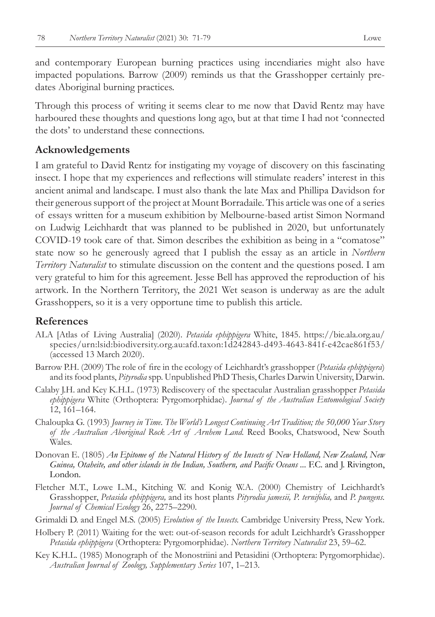and contemporary European burning practices using incendiaries might also have impacted populations. Barrow (2009) reminds us that the Grasshopper certainly predates Aboriginal burning practices.

Through this process of writing it seems clear to me now that David Rentz may have harboured these thoughts and questions long ago, but at that time I had not 'connected the dots' to understand these connections.

#### **Acknowledgements**

I am grateful to David Rentz for instigating my voyage of discovery on this fascinating insect. I hope that my experiences and reflections will stimulate readers' interest in this ancient animal and landscape. I must also thank the late Max and Phillipa Davidson for their generous support of the project at Mount Borradaile. This article was one of a series of essays written for a museum exhibition by Melbourne-based artist Simon Normand on Ludwig Leichhardt that was planned to be published in 2020, but unfortunately COVID-19 took care of that. Simon describes the exhibition as being in a "comatose" state now so he generously agreed that I publish the essay as an article in *Northern Territory Naturalist* to stimulate discussion on the content and the questions posed. I am very grateful to him for this agreement. Jesse Bell has approved the reproduction of his artwork. In the Northern Territory, the 2021 Wet season is underway as are the adult Grasshoppers, so it is a very opportune time to publish this article.

#### **References**

- ALA [Atlas of Living Australia] (2020). *Petasida ephippigera* White, 1845. https://bie.ala.org.au/ species/urn:lsid:biodiversity.org.au:afd.taxon:1d242843-d493-4643-841f-e42cae861f53/ (accessed 13 March 2020).
- Barrow P.H. (2009) The role of fire in the ecology of Leichhardt's grasshopper (*Petasida ephippigera*) and its food plants, *Pityrodia* spp. Unpublished PhD Thesis, Charles Darwin University, Darwin.
- Calaby J.H. and Key K.H.L. (1973) Rediscovery of the spectacular Australian grasshopper *Petasida ephippigera* White (Orthoptera: Pyrgomorphidae). *Journal of the Australian Entomological Society*  12, 161–164.
- Chaloupka G. (1993) *Journey in Time. The World's Longest Continuing Art Tradition; the 50,000 Year Story of the Australian Aboriginal Rock Art of Arnhem Land.* Reed Books, Chatswood, New South Wales.
- Donovan E. (1805) *An Epitome of the Natural History of the Insects of New Holland, New Zealand, New Guinea, Otaheite, and other islands in the Indian, Southern, and Pacific Oceans ...* F.C. and J. Rivington, London.
- Fletcher M.T., Lowe L.M., Kitching W. and Konig W.A. (2000) Chemistry of Leichhardt's Grasshopper, *Petasida ephippigera,* and its host plants *Pityrodia jamesii, P. ternifolia,* and *P. pungens. Journal of Chemical Ecology* 26, 2275–2290.
- Grimaldi D. and Engel M.S. (2005) *Evolution of the Insects.* Cambridge University Press, New York.
- Holbery P. (2011) Waiting for the wet: out-of-season records for adult Leichhardt's Grasshopper *Petasida ephippigera* (Orthoptera: Pyrgomorphidae). *Northern Territory Naturalist* 23, 59–62.
- Key K.H.L. (1985) Monograph of the Monostriini and Petasidini (Orthoptera: Pyrgomorphidae). *Australian Journal of Zoology, Supplementary Series* 107, 1–213.